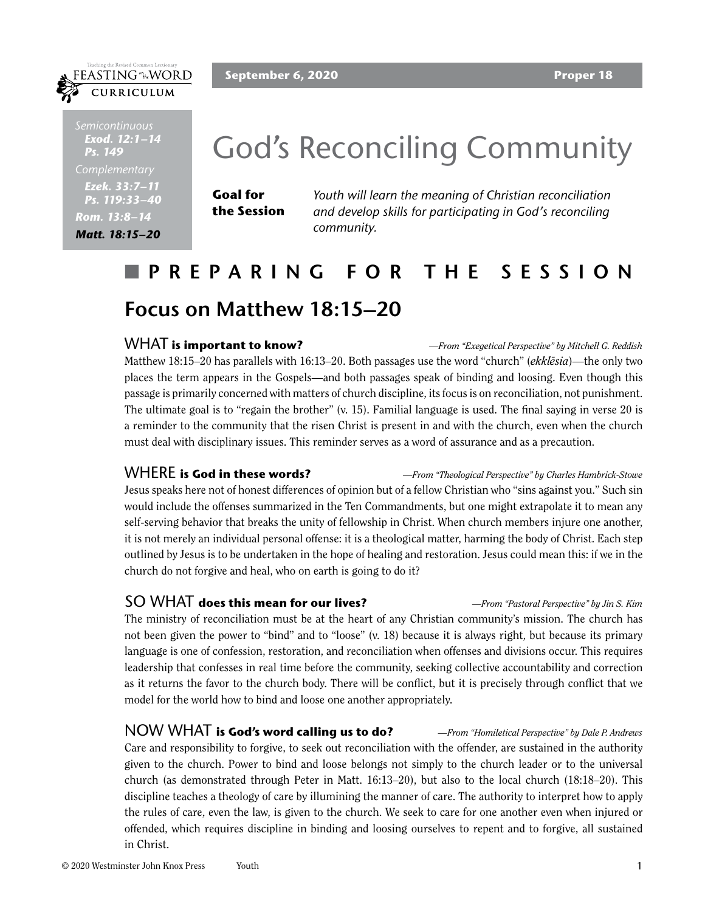### **September 6, 2020 Proper 18**



*Semicontinuous Exod. 12:1–14 Ps. 149 Ezek. 33:7–11 Ps. 119:33–40 Rom. 13:8–14 Matt. 18:15–20*

FEASTING<sup>on</sup>the WORD CURRICULUM

# God's Reconciling Community

**Goal for the Session**

*Youth will learn the meaning of Christian reconciliation and develop skills for participating in God's reconciling community.*

# n **PREPARING FOR THE SESSION Focus on Matthew 18:15–20**

### WHAT **is important to know?** *—From "Exegetical Perspective" by Mitchell G. Reddish* Matthew 18:15–20 has parallels with 16:13–20. Both passages use the word "church" (*ekklēsia*)—the only two places the term appears in the Gospels—and both passages speak of binding and loosing. Even though this passage is primarily concerned with matters of church discipline, its focus is on reconciliation, not punishment. The ultimate goal is to "regain the brother" (v. 15). Familial language is used. The final saying in verse 20 is a reminder to the community that the risen Christ is present in and with the church, even when the church must deal with disciplinary issues. This reminder serves as a word of assurance and as a precaution.

WHERE **is God in these words?** *—From "Theological Perspective" by Charles Hambrick-Stowe* Jesus speaks here not of honest differences of opinion but of a fellow Christian who "sins against you." Such sin would include the offenses summarized in the Ten Commandments, but one might extrapolate it to mean any self-serving behavior that breaks the unity of fellowship in Christ. When church members injure one another, it is not merely an individual personal offense: it is a theological matter, harming the body of Christ. Each step outlined by Jesus is to be undertaken in the hope of healing and restoration. Jesus could mean this: if we in the church do not forgive and heal, who on earth is going to do it?

## SO WHAT **does this mean for our lives?** *—From "Pastoral Perspective" by Jin S. Kim* The ministry of reconciliation must be at the heart of any Christian community's mission. The church has not been given the power to "bind" and to "loose" (v. 18) because it is always right, but because its primary language is one of confession, restoration, and reconciliation when offenses and divisions occur. This requires leadership that confesses in real time before the community, seeking collective accountability and correction as it returns the favor to the church body. There will be conflict, but it is precisely through conflict that we model for the world how to bind and loose one another appropriately.

NOW WHAT **is God's word calling us to do?** *—From "Homiletical Perspective" by Dale P. Andrews* Care and responsibility to forgive, to seek out reconciliation with the offender, are sustained in the authority given to the church. Power to bind and loose belongs not simply to the church leader or to the universal church (as demonstrated through Peter in Matt. 16:13–20), but also to the local church (18:18–20). This discipline teaches a theology of care by illumining the manner of care. The authority to interpret how to apply the rules of care, even the law, is given to the church. We seek to care for one another even when injured or offended, which requires discipline in binding and loosing ourselves to repent and to forgive, all sustained in Christ.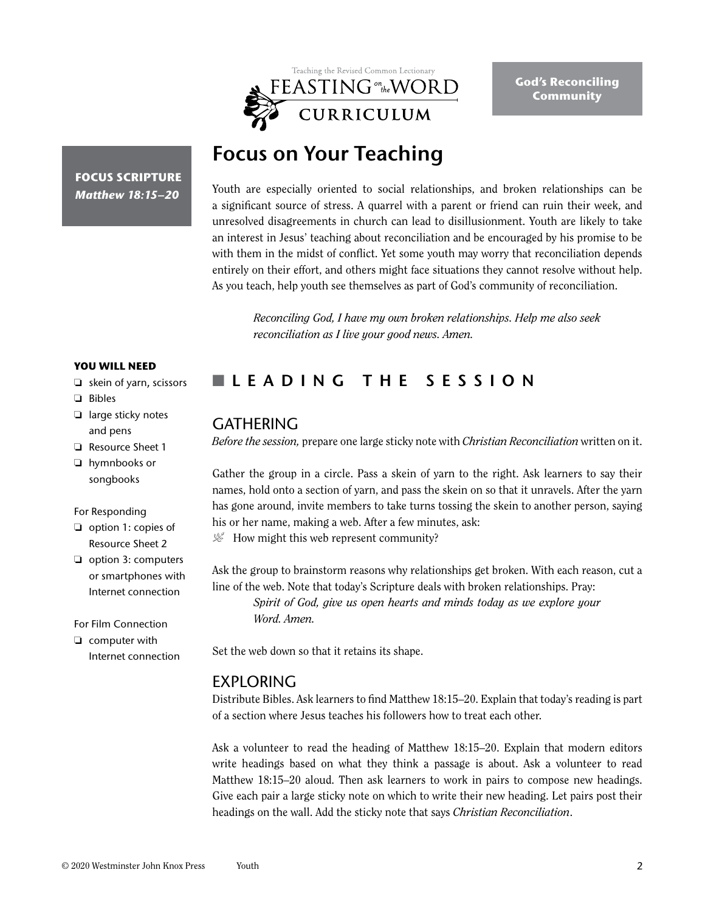

# **Focus on Your Teaching**

**FOCUS SCRIPTURE** *Matthew 18:15–20*

Youth are especially oriented to social relationships, and broken relationships can be a significant source of stress. A quarrel with a parent or friend can ruin their week, and unresolved disagreements in church can lead to disillusionment. Youth are likely to take an interest in Jesus' teaching about reconciliation and be encouraged by his promise to be with them in the midst of conflict. Yet some youth may worry that reconciliation depends entirely on their effort, and others might face situations they cannot resolve without help. As you teach, help youth see themselves as part of God's community of reconciliation.

*Reconciling God, I have my own broken relationships. Help me also seek reconciliation as I live your good news. Amen.*

#### **YOU WILL NEED**

- ❏ skein of yarn, scissors
- ❏ Bibles
- ❏ large sticky notes and pens
- ❏ Resource Sheet 1
- ❏ hymnbooks or songbooks

#### For Responding

- ❏ option 1: copies of Resource Sheet 2
- ❏ option 3: computers or smartphones with Internet connection

For Film Connection

❏ computer with Internet connection

# n **LEADING THE SESSION**

# **GATHERING**

*Before the session,* prepare one large sticky note with *Christian Reconciliation* written on it.

Gather the group in a circle. Pass a skein of yarn to the right. Ask learners to say their names, hold onto a section of yarn, and pass the skein on so that it unravels. After the yarn has gone around, invite members to take turns tossing the skein to another person, saying his or her name, making a web. After a few minutes, ask:

 $\mathcal{L}$  How might this web represent community?

Ask the group to brainstorm reasons why relationships get broken. With each reason, cut a line of the web. Note that today's Scripture deals with broken relationships. Pray:

*Spirit of God, give us open hearts and minds today as we explore your Word. Amen.* 

Set the web down so that it retains its shape.

## EXPLORING

Distribute Bibles. Ask learners to find Matthew 18:15–20. Explain that today's reading is part of a section where Jesus teaches his followers how to treat each other.

Ask a volunteer to read the heading of Matthew 18:15–20. Explain that modern editors write headings based on what they think a passage is about. Ask a volunteer to read Matthew 18:15–20 aloud. Then ask learners to work in pairs to compose new headings. Give each pair a large sticky note on which to write their new heading. Let pairs post their headings on the wall. Add the sticky note that says *Christian Reconciliation*.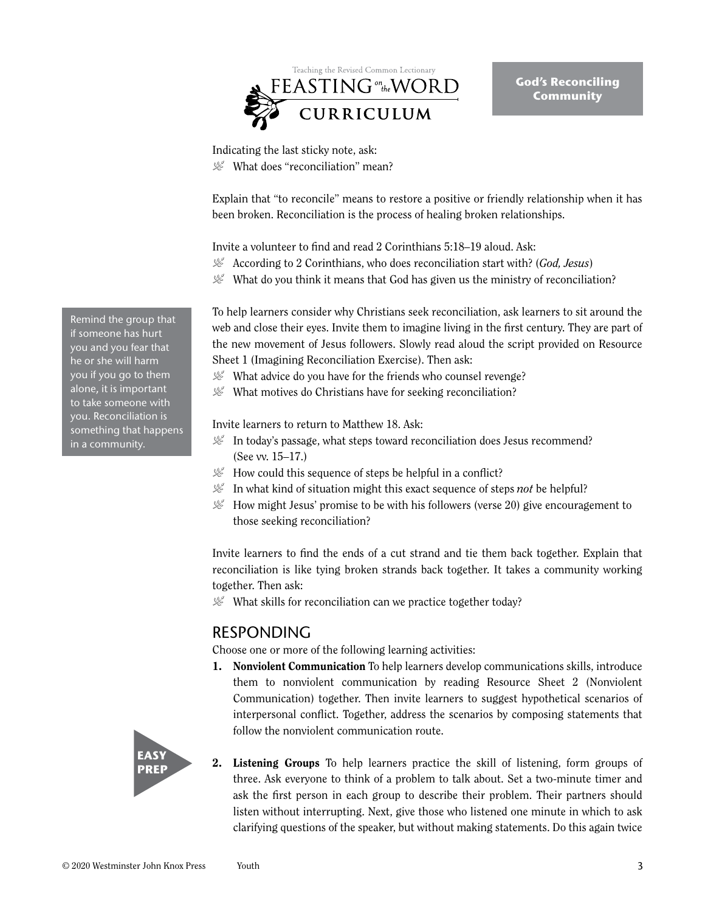

**God's Reconciling Community**

Indicating the last sticky note, ask:  $\mathcal{L}$  What does "reconciliation" mean?

Explain that "to reconcile" means to restore a positive or friendly relationship when it has been broken. Reconciliation is the process of healing broken relationships.

Invite a volunteer to find and read 2 Corinthians 5:18–19 aloud. Ask:

- P According to 2 Corinthians, who does reconciliation start with? (*God, Jesus*)
- $\mathcal{L}$  What do you think it means that God has given us the ministry of reconciliation?

To help learners consider why Christians seek reconciliation, ask learners to sit around the web and close their eyes. Invite them to imagine living in the first century. They are part of the new movement of Jesus followers. Slowly read aloud the script provided on Resource Sheet 1 (Imagining Reconciliation Exercise). Then ask:

- $\mathcal{L}$  What advice do you have for the friends who counsel revenge?
- $\mathcal{L}$  What motives do Christians have for seeking reconciliation?

Invite learners to return to Matthew 18. Ask:

- $\mathcal{L}$  In today's passage, what steps toward reconciliation does Jesus recommend? (See vv. 15–17.)
- $\mathcal{L}$  How could this sequence of steps be helpful in a conflict?
- $\mathcal{L}$  In what kind of situation might this exact sequence of steps *not* be helpful?
- $\mathcal{L}$  How might Jesus' promise to be with his followers (verse 20) give encouragement to those seeking reconciliation?

Invite learners to find the ends of a cut strand and tie them back together. Explain that reconciliation is like tying broken strands back together. It takes a community working together. Then ask:

 $\mathcal{L}$  What skills for reconciliation can we practice together today?

## RESPONDING

Choose one or more of the following learning activities:

1. Nonviolent Communication To help learners develop communications skills, introduce them to nonviolent communication by reading Resource Sheet 2 (Nonviolent Communication) together. Then invite learners to suggest hypothetical scenarios of interpersonal conflict. Together, address the scenarios by composing statements that follow the nonviolent communication route.



2. Listening Groups To help learners practice the skill of listening, form groups of three. Ask everyone to think of a problem to talk about. Set a two-minute timer and ask the first person in each group to describe their problem. Their partners should listen without interrupting. Next, give those who listened one minute in which to ask clarifying questions of the speaker, but without making statements. Do this again twice

Remind the group that if someone has hurt you and you fear that he or she will harm you if you go to them alone, it is important to take someone with you. Reconciliation is something that happens in a community.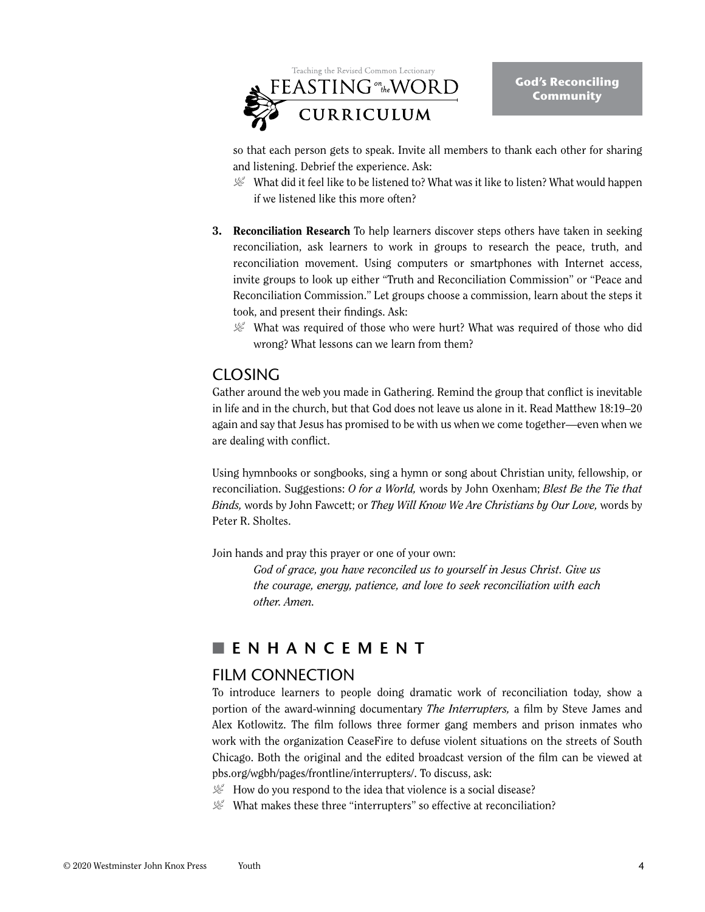

so that each person gets to speak. Invite all members to thank each other for sharing and listening. Debrief the experience. Ask:

- $\mathcal{L}$  What did it feel like to be listened to? What was it like to listen? What would happen if we listened like this more often?
- **3. Reconciliation Research** To help learners discover steps others have taken in seeking reconciliation, ask learners to work in groups to research the peace, truth, and reconciliation movement. Using computers or smartphones with Internet access, invite groups to look up either "Truth and Reconciliation Commission" or "Peace and Reconciliation Commission." Let groups choose a commission, learn about the steps it took, and present their findings. Ask:
	- $\mathcal{L}$  What was required of those who were hurt? What was required of those who did wrong? What lessons can we learn from them?

# CLOSING

Gather around the web you made in Gathering. Remind the group that conflict is inevitable in life and in the church, but that God does not leave us alone in it. Read Matthew 18:19–20 again and say that Jesus has promised to be with us when we come together—even when we are dealing with conflict.

Using hymnbooks or songbooks, sing a hymn or song about Christian unity, fellowship, or reconciliation. Suggestions: *O for a World,* words by John Oxenham; *Blest Be the Tie that Binds,* words by John Fawcett; or *They Will Know We Are Christians by Our Love,* words by Peter R. Sholtes.

Join hands and pray this prayer or one of your own:

*God of grace, you have reconciled us to yourself in Jesus Christ. Give us the courage, energy, patience, and love to seek reconciliation with each other. Amen.*

# n **ENHANCEMENT**

# FILM CONNECTION

To introduce learners to people doing dramatic work of reconciliation today, show a portion of the award-winning documentary *The Interrupters,* a film by Steve James and Alex Kotlowitz. The film follows three former gang members and prison inmates who work with the organization CeaseFire to defuse violent situations on the streets of South Chicago. Both the original and the edited broadcast version of the film can be viewed at pbs.org/wgbh/pages/frontline/interrupters/. To discuss, ask:

 $\mathcal{L}$  How do you respond to the idea that violence is a social disease?

 $\mathcal{L}$  What makes these three "interrupters" so effective at reconciliation?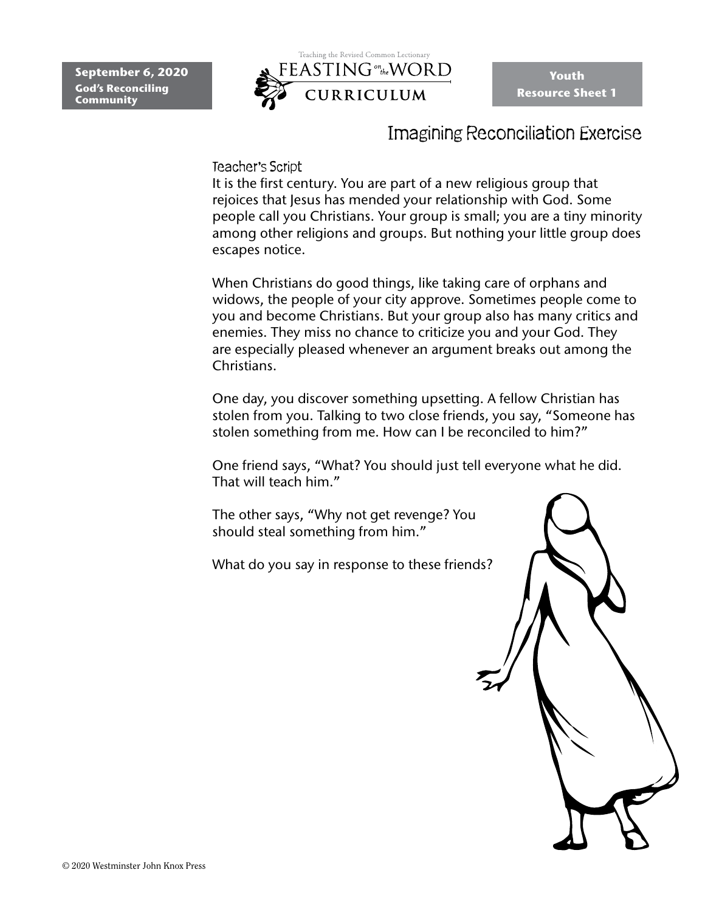

**Youth Resource Sheet 1**

# Imagining Reconciliation Exercise

### Teacher's Script

It is the first century. You are part of a new religious group that rejoices that Jesus has mended your relationship with God. Some people call you Christians. Your group is small; you are a tiny minority among other religions and groups. But nothing your little group does escapes notice.

When Christians do good things, like taking care of orphans and widows, the people of your city approve. Sometimes people come to you and become Christians. But your group also has many critics and enemies. They miss no chance to criticize you and your God. They are especially pleased whenever an argument breaks out among the Christians.

One day, you discover something upsetting. A fellow Christian has stolen from you. Talking to two close friends, you say, "Someone has stolen something from me. How can I be reconciled to him?"

One friend says, "What? You should just tell everyone what he did. That will teach him."

The other says, "Why not get revenge? You should steal something from him."

What do you say in response to these friends?